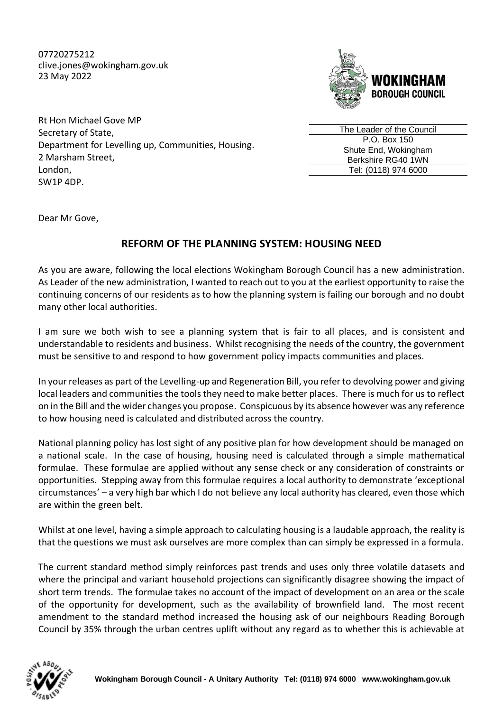07720275212 clive.jones@wokingham.gov.uk 23 May 2022



Rt Hon Michael Gove MP Secretary of State, Department for Levelling up, Communities, Housing. 2 Marsham Street, London, SW1P 4DP.

| The Leader of the Council |
|---------------------------|
| P.O. Box 150              |
| Shute End, Wokingham      |
| Berkshire RG40 1WN        |
| Tel: (0118) 974 6000      |
|                           |

Dear Mr Gove,

## **REFORM OF THE PLANNING SYSTEM: HOUSING NEED**

As you are aware, following the local elections Wokingham Borough Council has a new administration. As Leader of the new administration, I wanted to reach out to you at the earliest opportunity to raise the continuing concerns of our residents as to how the planning system is failing our borough and no doubt many other local authorities.

I am sure we both wish to see a planning system that is fair to all places, and is consistent and understandable to residents and business. Whilst recognising the needs of the country, the government must be sensitive to and respond to how government policy impacts communities and places.

In your releases as part of the Levelling-up and Regeneration Bill, you refer to devolving power and giving local leaders and communities the tools they need to make better places. There is much for us to reflect on in the Bill and the wider changes you propose. Conspicuous by its absence however was any reference to how housing need is calculated and distributed across the country.

National planning policy has lost sight of any positive plan for how development should be managed on a national scale. In the case of housing, housing need is calculated through a simple mathematical formulae. These formulae are applied without any sense check or any consideration of constraints or opportunities. Stepping away from this formulae requires a local authority to demonstrate 'exceptional circumstances' – a very high bar which I do not believe any local authority has cleared, even those which are within the green belt.

Whilst at one level, having a simple approach to calculating housing is a laudable approach, the reality is that the questions we must ask ourselves are more complex than can simply be expressed in a formula.

The current standard method simply reinforces past trends and uses only three volatile datasets and where the principal and variant household projections can significantly disagree showing the impact of short term trends. The formulae takes no account of the impact of development on an area or the scale of the opportunity for development, such as the availability of brownfield land. The most recent amendment to the standard method increased the housing ask of our neighbours Reading Borough Council by 35% through the urban centres uplift without any regard as to whether this is achievable at